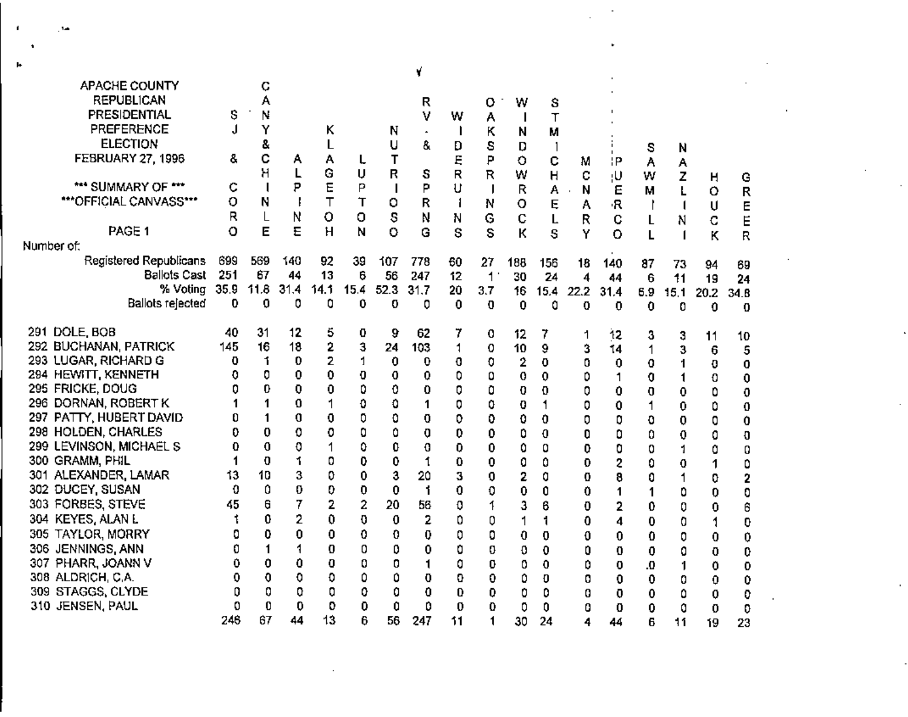| APACHE COUNTY            |      | С    |      |      |      |              |                     |              |              |              |      |      |         |             |      |      |      |  |
|--------------------------|------|------|------|------|------|--------------|---------------------|--------------|--------------|--------------|------|------|---------|-------------|------|------|------|--|
| <b>REPUBLICAN</b>        |      | A    |      |      |      |              |                     |              |              |              |      |      |         |             |      |      |      |  |
| PRESIDENTIAL             | \$   | Ν    |      |      |      |              | R<br>٧              |              | о            | W            | S    |      |         |             |      |      |      |  |
| PREFERENCE               | J    |      |      |      |      |              |                     | w            | А            | $\mathbf{I}$ | T    |      |         |             |      |      |      |  |
|                          |      | Y    |      | ĸ    |      | N            | $\hat{\phantom{a}}$ |              | κ            | N            | М    |      |         |             |      |      |      |  |
| <b>ELECTION</b>          |      | S.   |      | L    |      | U            | 8.                  | D            | S            | D            |      |      |         | s           | N    |      |      |  |
| <b>FEBRUARY 27, 1996</b> | ĉ.   | с    | А    | А    | L    | т            |                     | Ę            | P            | o            | c    | М    | łР      | Α           | А    |      |      |  |
|                          |      | Η    | L    | G    | U    | R            | s                   | R            | R            | W            | Н    | с    | ļU.     | W           | z    | н    | G    |  |
| *** SUMMARY OF ***       | c    |      | P    | E    | Ρ    | $\mathbf{I}$ | P                   | U            | $\mathbf{I}$ | R            | А    | N    | Ε       | М           |      | o    | R    |  |
| ***OFFICIAL CANVASS***   | о    | Ν    |      |      | Τ    | o            | R                   | $\mathbf{1}$ | N            | $\circ$      | Ę    | А    | R       |             |      | U    | E    |  |
|                          | R    | L    | Ν    | o    | o    | S            | N                   | N            | G            | C            | L    | R    | C       | L           | N    | C    | Ë    |  |
| PAGE <sub>1</sub>        | о    | E    | E    | н    | Ν    | o            | Ġ                   | S            | S            | К            | S    | Y    | $\circ$ |             |      | K    | R    |  |
| Number of:               |      |      |      |      |      |              |                     |              |              |              |      |      |         |             |      |      |      |  |
| Registered Republicans   | 699  | 569  | 140  | 92   | 39   | 107          | 778                 | 60           | 27           | 188          | 156  | 18   | 140     | 87          | 73   | 94   | 69   |  |
| <b>Ballots Cast</b>      | 251  | 67   | 44   | 13   | 6    | 56           | 247                 | 12           | 1            | 30           | 24   | 4    | 44      | 6           | 11   | 19   | 24   |  |
| % Voting                 | 35.9 | 11.8 | 31.4 | 14.1 | 15.4 | 52.3         | 31.7                | 20           | 3.7          | 16           | 15.4 | 22.2 | 31.4    | 6.9         | 15.1 | 20.2 | 34.8 |  |
| Ballots rejected         | 0    | 0    | 0    | 0    | 0    | 0            | 0                   | 0            | 0            | 0            | 0    | 0    | 0       | 0           | 0    | 0    | 0    |  |
|                          |      |      |      |      |      |              |                     |              |              |              |      |      |         |             |      |      |      |  |
| 291 DOLE, BOB            | 40   | 31   | 12   | 5    | 0    | 9            | 62                  | 7            | 0            | 12           | 7    | 1    | 12      | 3           | 3    | 11   | 10   |  |
| 292 BUCHANAN, PATRICK    | 145  | 16   | 18   | 2    | 3    | 24           | 103                 | 1            | 0            | 10           | 9    | 3    | 14      | 1           | 3    | 6    | 5    |  |
| 293 LUGAR, RICHARD G     | o    | 1    | 0    | 2    | 1    | 0            | 0                   | o            | 0            | 2            | 0    | 0    | 0       | 0           | 1    | 0    | 0    |  |
| 294 HEWITT, KENNETH      | 0    | 0    | 0    | 0    | 0    | 0            | 0                   | 0            | 0            | 0            | 0.   | ٥    | 1       | 0           | 1    | 0    | 0    |  |
| 295 FRICKE, DOUG         | 0    | 0    | 0    | 0    | 0    | 0            | 0                   | 0            | 0            | 0            | Ð    | 0    | 0       | 0           | 0    | ٥    | 0    |  |
| 296 DORNAN, ROBERT K     |      | 1    | 0    |      | 0    | 0            | 1                   | 0            | 0            | 0            | 1    | 0    | 0       | 1           | 0    | ٥    | 0    |  |
| 297 PATTY, HUBERT DAVID  | 0    | 1    | 0    | 0    | 0    | 0            | 0                   | 0            | 0            | ٥            | 0    | 0    | 0       | ٥           | 0    | 0    | 0    |  |
| 298 HOLDEN, CHARLES      | 0    | 0    | 0    | 0    | 0    | ٥            | 0                   | 0            | 0            | ٥            | 0    | 0    | 0       | 0           | 0    | 0    |      |  |
| 299 LEVINSON, MICHAEL S  | 0    | 0    | 0    |      | 0    | 0            | 0                   | 0            | 0            | ٥            | 0    | 0    | 0       | 0           | 1    | 0    | O    |  |
| 300 GRAMM, PHIL          | 1    | 0    | 1    | 0    | 0    | 0            | $\ddot{\mathbf{t}}$ | 0            | 0            | 0            | ٥    | 0    | 2       | 0           | 0    |      | 0    |  |
| 301 ALEXANDER, LAMAR     | 13   | 10   | 3    | 0    | 0    | 3            | 20                  | 3            | 0            | 2            | 0    | 0    | 8       | 0           | 1    | 1    | ٥    |  |
| 302 DUCEY, SUSAN         | 0    | 0    | 0    | 0    | 0    | 0            | 1                   | 0            | 0            | 0            | 0    | 0    |         |             |      | 0    | 2    |  |
| 303 FORBES, STEVE        | 45   | θ    | 7    | 2    | 2    | 20           | 56                  |              | 1            |              |      |      | 1       | 1           | ٥    | 0    | 0    |  |
|                          |      | 0    |      |      |      |              |                     | 0            |              | 3            | 6    | 0    | 2       | 0           | 0    | 0    | 6    |  |
| 304 KEYES, ALAN L        |      |      | 2    | 0    | 0    | 0            | 2                   | 0            | 0            | 1            | 1    | 0    | 4       | 0           | 0    | 1    | 0    |  |
| 305 TAYLOR, MORRY        | 0    | 0    | 0    | 0    | 0    | 0            | 0                   | 0            | 0            | 0            | 0    | 0    | 0       | 0           | 0    | 0    | 0    |  |
| 306 JENNINGS, ANN        | 0    |      |      | 0    | 0    | ٥            | 0                   | 0            | 0            | 0            | 0    | 0    | 0       | 0           | 0    | 0    | 0    |  |
| 307 PHARR, JOANN V       | 0    | 0    | 0    | O    | 0    | 0            | 1                   | 0            | 0            | 0            | 0    | ٥    | 0       | 0.          | 1    | 0    | 0    |  |
| 308 ALDRICH, C.A.        | 0    | 0    | 0    | O    | 0    | ٥            | 0                   | o            | 0            | ٥            | Ð    | 0    | 0       | 0           | 0    | 0    | 0    |  |
| 309 STAGGS, CLYDE        | ٥    | 0    | 0    | 0    | 0    | ٥            | 0                   | 0            | 0            | 0            | 0    | 0    | 0       | 0           | ٥    | 0    | 0    |  |
| 310 JENSEN, PAUL         | 0    | 0    | 0    | 0    | 0    | 0            | ٥                   | $\bf{0}$     | 0            | 0            | 0    | 0    | 0       | $\mathbf 0$ | 0    | 0    | 0    |  |
|                          | 246  | 67   | 44   | 13   | 6    | 56           | 247                 | 11           | 1            | 30           | 24   | 4    | 44      | 6           | 11   | 19   | 23   |  |

 $\blacksquare$ 

 $\sim$  1.00

÷,

 $\sim 10^{11}$  km s  $^{-1}$ 

**Contractor** 

 $\sim$   $\sim$ 

 $\mathcal{F}^{\prime}$ 

l,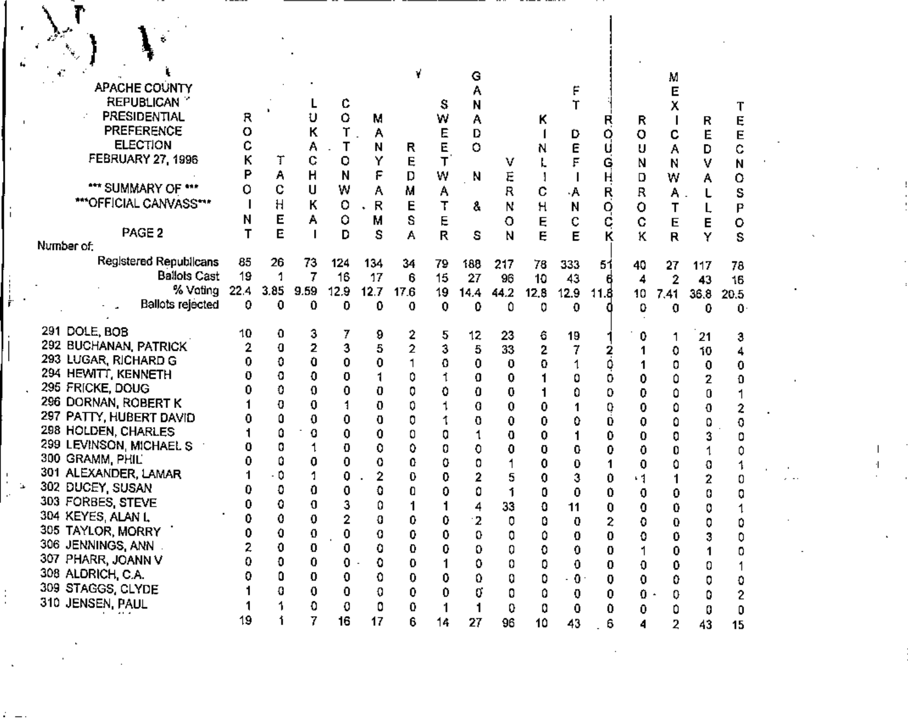|              |  |                                         |                                                |          |         |         |                     |            |                |                   | G          |            |            |             |           |         | Μ         |            |                    |  |  |              |  |
|--------------|--|-----------------------------------------|------------------------------------------------|----------|---------|---------|---------------------|------------|----------------|-------------------|------------|------------|------------|-------------|-----------|---------|-----------|------------|--------------------|--|--|--------------|--|
|              |  |                                         | APACHE COUNTY<br><b>REPUBLICAN</b>             |          |         |         | c                   |            |                | s                 | N          |            |            |             |           |         | х         |            |                    |  |  |              |  |
|              |  |                                         | PRESIDENTIAL                                   | R        |         |         | 0                   | Μ          |                | W                 | А          |            | Κ          |             | R         | R       |           | R          | Ę                  |  |  |              |  |
|              |  |                                         | PREFERENCE<br><b>ELECTION</b>                  | O        |         | κ       | Т                   | Α          |                | Е                 | D          |            |            | D           | Q         | o       | с         | E          | E                  |  |  |              |  |
|              |  |                                         | FEBRUARY 27, 1996                              | с        | т       | Α<br>¢  | Τ<br>o              | N<br>Y     | R<br>Ę         | E<br>T            | о          | v          | N          | E           | Ġ         | U<br>N  | А<br>N    | D<br>٧     | ¢<br>Ν             |  |  |              |  |
|              |  |                                         |                                                | P        | Α       | н       | N                   | F          | D              | W                 | -N         | Ė          |            |             | H         | D       | W         | А          | 0                  |  |  |              |  |
|              |  |                                         | *** SUMMARY OF ***                             | Ó        | C       | U       | W                   | А          | Μ              | А                 |            | R          | с          | ۰A          | Ŗ         | R       | Α         |            | S                  |  |  |              |  |
|              |  |                                         | ***OFFICIAL CANVASS***                         |          | Н       | Κ       | o                   | $\cdot$ R  | Е              | т                 | å          | Ν          | н          | N           | Q         | o       | T         |            | P                  |  |  |              |  |
|              |  |                                         | PAGE <sub>2</sub>                              | N        | Е<br>E  | Α       | ٥<br>D              | М<br>S     | s<br>А         | E<br>R            | s          | o<br>N     | Ę<br>Ę     | C<br>E      | ¢<br>к    | C<br>κ  | E<br>R    | Е<br>Y     | о<br>s             |  |  |              |  |
|              |  | Number of:                              |                                                |          |         |         |                     |            |                |                   |            |            |            |             |           |         |           |            |                    |  |  |              |  |
|              |  |                                         | Registered Republicans<br><b>Ballots Cast</b>  | 85<br>19 | 26<br>1 | 73<br>7 | 124                 | 134        | 34             | 79                | 188        | 217        | 78         | 333         | 51        | 40      | 27        | 117        | 78                 |  |  |              |  |
|              |  |                                         | % Voting                                       | 22.4     | 3.85    | 9.59    | 16<br>12.9          | 17<br>12.7 | 6<br>17.6      | 15<br>19          | 27<br>14.4 | 96<br>44.2 | 10<br>12.8 | 43<br>12.9  | 11.8      | 4<br>10 | 2<br>7.41 | 43<br>36.8 | 16<br>20.5         |  |  |              |  |
|              |  |                                         | <b>Ballots rejected</b>                        | 0.       | 0       | 0       | 0                   | ٥          | 0              | 0                 | 0          | ٥          | 0          | 0           |           | 0       | 0         | 0          | Û                  |  |  |              |  |
|              |  | 291 DOLE, BOB                           |                                                | 10       | o       | 3       | 7                   | 9          | 2              | 5                 | 12         | 23         | 6          | 19          |           | 0       |           | 21         |                    |  |  |              |  |
|              |  |                                         | 292 BUCHANAN, PATRICK                          |          | 0       | 2       | 3                   | 5          | $\overline{2}$ | Ĵ                 | 5          | 33         | 2          |             |           |         | ٥         | 10         | з                  |  |  |              |  |
|              |  |                                         | 293 LUGAR, RICHARD G                           |          | 0       | 0       | 0                   | 0          |                | 0                 | 0          | 0          | 0          |             |           |         | 0         | 0          |                    |  |  |              |  |
|              |  | 295 FRICKE, DOUG                        | 294 HEWITT, KENNETH                            |          | 0<br>0  | 0<br>0  | 0<br>0              | 0          | 0<br>0         | ٥                 | 0<br>0     | 0<br>0     |            | 0           | 0<br>0    | 0       | ٥         | 2          | o                  |  |  |              |  |
|              |  |                                         | 296 DORNAN, ROBERT K                           |          | O       | 0       |                     | 0          | 0              |                   | 0          | 0          | 0          | ٥           | 0         | 0<br>0  | ٥<br>٥    | 0          | 2                  |  |  |              |  |
|              |  |                                         | 297 PATTY, HUBERT DAVID                        |          | Δ       | 0       | 0                   | 0          | 0              |                   | 0          | 0          | 0          | 0           | 0         | 0       | ٥         | 0          | 0                  |  |  |              |  |
|              |  |                                         | 298 HOLDEN, CHARLES<br>299 LEVINSON, MICHAEL S |          | ۵<br>0  | 0       | 0<br>0              | 0<br>0     | 0<br>٥         | 0<br>0            |            | 0          | 0          |             | 0         | 0       | 0         | 3          | ۵                  |  |  |              |  |
|              |  | 300 GRAMM, PHIL                         |                                                |          | ٥       | 0       | 0                   | 0          | 0              | ٥                 |            | 0          | 0<br>0     | 0<br>0      | 0         | 0<br>0  | 0<br>٥    |            |                    |  |  |              |  |
|              |  |                                         | 301 ALEXANDER, LAMAR                           |          | ٥.      |         | 0                   |            | 0              | 0                 |            | 5          | 0          | 3           | 0         | ٠1      |           | 2          |                    |  |  |              |  |
|              |  | 302 DUCEY, SUSAN<br>303 FORBES, STEVE   |                                                |          | 0<br>٥  | 0<br>0  | 0                   | û          | 0              | 0                 |            | 1          | o          | 0           | 0         | 0       | 0         |            |                    |  |  |              |  |
|              |  | 304 KEYES, ALAN L                       |                                                |          | 0       | 0       | 2                   | 0          | 0              | 0                 | 2          | 33<br>0    | O<br>۵     | 11<br>0     | 0<br>2    | 0<br>0  | 0<br>0    |            |                    |  |  |              |  |
|              |  | 305 TAYLOR, MORRY                       |                                                | 0        | 0       | 0       | 0                   | 0          | 0              | 0                 | 0          | o          | ٥          | 0           | 0         | 0       | 0         | 3          | 0                  |  |  | $\mathbf{r}$ |  |
|              |  | 306 JENNINGS, ANN<br>307 PHARR, JOANN V |                                                | 2<br>0   | 0<br>O  | 0<br>0  | 0<br>$\mathbf{0}$ . | 0<br>o     | 0              | 0                 | 0          | Q          | 0          | 0           | 0         |         | 0         | 1          | 0                  |  |  |              |  |
|              |  | 308 ALDRICH, C.A.                       |                                                |          | o       | 0       | 0                   | 0          | 0<br>0         | $\mathbf{1}$<br>0 | ٥<br>0     | 0<br>0     | 0<br>0     | 0<br>$+0$ . | 0<br>0    | O<br>0  | 0<br>0    | 0<br>0     | $\mathbf 0$        |  |  |              |  |
|              |  | 309 STAGGS, CLYDE                       |                                                |          | 0       | 0       | 0                   | 0          | 0              | 0                 | 0          | 0          | 0          | 0           | 0         | $0 -$   | 0         | 0          | $\mathbf{2}$       |  |  |              |  |
| $\mathbf{r}$ |  | 310 JENSEN, PAUL                        |                                                |          | 1       | 0       | 0                   | 0          | 0              | $\mathbf{1}$      |            | 0          | 0          | 0           | $\pmb{0}$ | 0       | ٥         | 0          | $\pmb{\mathsf{D}}$ |  |  |              |  |
|              |  |                                         |                                                | 19       |         | 7       | 16                  | 17         | 6              | 14                | 27         | 96         | 10         | 43          | 6         | 4       | 2         | 43         | 15                 |  |  |              |  |
|              |  |                                         |                                                |          |         |         |                     |            |                |                   |            |            |            |             |           |         |           |            |                    |  |  |              |  |
|              |  |                                         |                                                |          |         |         |                     |            |                |                   |            |            |            |             |           |         |           |            |                    |  |  |              |  |

 $\mathcal{L}^{\pm}$  and  $\mathcal{L}^{\pm}$